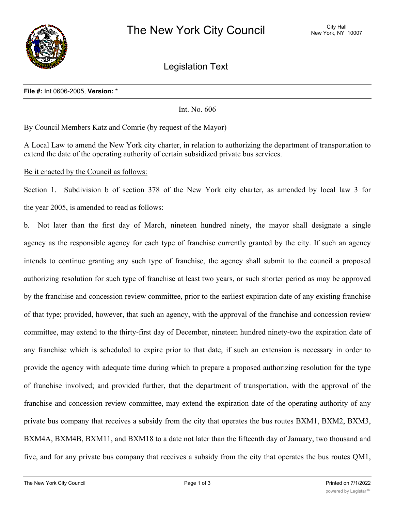

Legislation Text

## **File #:** Int 0606-2005, **Version:** \*

Int. No. 606

By Council Members Katz and Comrie (by request of the Mayor)

A Local Law to amend the New York city charter, in relation to authorizing the department of transportation to extend the date of the operating authority of certain subsidized private bus services.

Be it enacted by the Council as follows:

Section 1. Subdivision b of section 378 of the New York city charter, as amended by local law 3 for the year 2005, is amended to read as follows:

b. Not later than the first day of March, nineteen hundred ninety, the mayor shall designate a single agency as the responsible agency for each type of franchise currently granted by the city. If such an agency intends to continue granting any such type of franchise, the agency shall submit to the council a proposed authorizing resolution for such type of franchise at least two years, or such shorter period as may be approved by the franchise and concession review committee, prior to the earliest expiration date of any existing franchise of that type; provided, however, that such an agency, with the approval of the franchise and concession review committee, may extend to the thirty-first day of December, nineteen hundred ninety-two the expiration date of any franchise which is scheduled to expire prior to that date, if such an extension is necessary in order to provide the agency with adequate time during which to prepare a proposed authorizing resolution for the type of franchise involved; and provided further, that the department of transportation, with the approval of the franchise and concession review committee, may extend the expiration date of the operating authority of any private bus company that receives a subsidy from the city that operates the bus routes BXM1, BXM2, BXM3, BXM4A, BXM4B, BXM11, and BXM18 to a date not later than the fifteenth day of January, two thousand and five, and for any private bus company that receives a subsidy from the city that operates the bus routes QM1,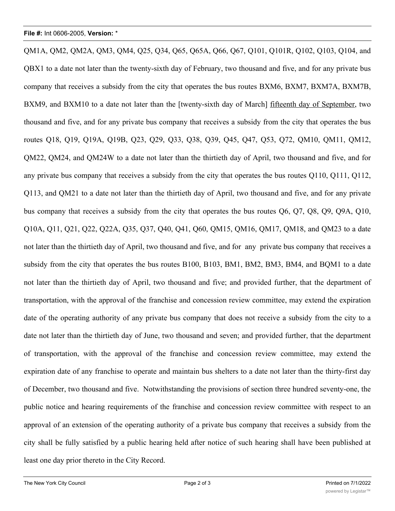QM1A, QM2, QM2A, QM3, QM4, Q25, Q34, Q65, Q65A, Q66, Q67, Q101, Q101R, Q102, Q103, Q104, and QBX1 to a date not later than the twenty-sixth day of February, two thousand and five, and for any private bus company that receives a subsidy from the city that operates the bus routes BXM6, BXM7, BXM7A, BXM7B, BXM9, and BXM10 to a date not later than the [twenty-sixth day of March] fifteenth day of September, two thousand and five, and for any private bus company that receives a subsidy from the city that operates the bus routes Q18, Q19, Q19A, Q19B, Q23, Q29, Q33, Q38, Q39, Q45, Q47, Q53, Q72, QM10, QM11, QM12, QM22, QM24, and QM24W to a date not later than the thirtieth day of April, two thousand and five, and for any private bus company that receives a subsidy from the city that operates the bus routes Q110, Q111, Q112, Q113, and QM21 to a date not later than the thirtieth day of April, two thousand and five, and for any private bus company that receives a subsidy from the city that operates the bus routes Q6, Q7, Q8, Q9, Q9A, Q10, Q10A, Q11, Q21, Q22, Q22A, Q35, Q37, Q40, Q41, Q60, QM15, QM16, QM17, QM18, and QM23 to a date not later than the thirtieth day of April, two thousand and five, and for any private bus company that receives a subsidy from the city that operates the bus routes B100, B103, BM1, BM2, BM3, BM4, and BQM1 to a date not later than the thirtieth day of April, two thousand and five; and provided further, that the department of transportation, with the approval of the franchise and concession review committee, may extend the expiration date of the operating authority of any private bus company that does not receive a subsidy from the city to a date not later than the thirtieth day of June, two thousand and seven; and provided further, that the department of transportation, with the approval of the franchise and concession review committee, may extend the expiration date of any franchise to operate and maintain bus shelters to a date not later than the thirty-first day of December, two thousand and five. Notwithstanding the provisions of section three hundred seventy-one, the public notice and hearing requirements of the franchise and concession review committee with respect to an approval of an extension of the operating authority of a private bus company that receives a subsidy from the city shall be fully satisfied by a public hearing held after notice of such hearing shall have been published at least one day prior thereto in the City Record.